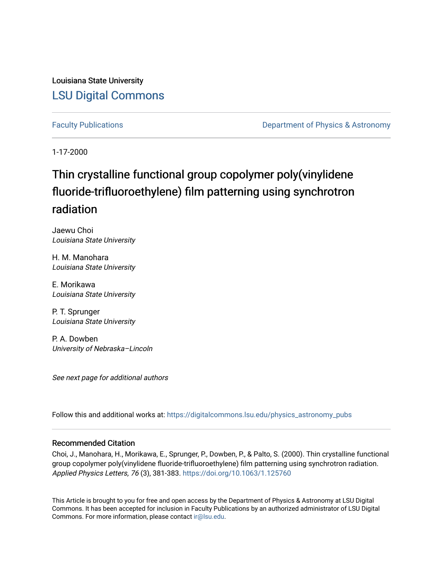Louisiana State University [LSU Digital Commons](https://digitalcommons.lsu.edu/)

[Faculty Publications](https://digitalcommons.lsu.edu/physics_astronomy_pubs) **Exercise 2 and Table 2 and Table 2 and Table 2 and Table 2 and Table 2 and Table 2 and Table 2 and Table 2 and Table 2 and Table 2 and Table 2 and Table 2 and Table 2 and Table 2 and Table 2 and Table** 

1-17-2000

## Thin crystalline functional group copolymer poly(vinylidene fluoride-trifluoroethylene) film patterning using synchrotron radiation

Jaewu Choi Louisiana State University

H. M. Manohara Louisiana State University

E. Morikawa Louisiana State University

P. T. Sprunger Louisiana State University

P. A. Dowben University of Nebraska–Lincoln

See next page for additional authors

Follow this and additional works at: [https://digitalcommons.lsu.edu/physics\\_astronomy\\_pubs](https://digitalcommons.lsu.edu/physics_astronomy_pubs?utm_source=digitalcommons.lsu.edu%2Fphysics_astronomy_pubs%2F5149&utm_medium=PDF&utm_campaign=PDFCoverPages) 

#### Recommended Citation

Choi, J., Manohara, H., Morikawa, E., Sprunger, P., Dowben, P., & Palto, S. (2000). Thin crystalline functional group copolymer poly(vinylidene fluoride-trifluoroethylene) film patterning using synchrotron radiation. Applied Physics Letters, 76 (3), 381-383. <https://doi.org/10.1063/1.125760>

This Article is brought to you for free and open access by the Department of Physics & Astronomy at LSU Digital Commons. It has been accepted for inclusion in Faculty Publications by an authorized administrator of LSU Digital Commons. For more information, please contact [ir@lsu.edu](mailto:ir@lsu.edu).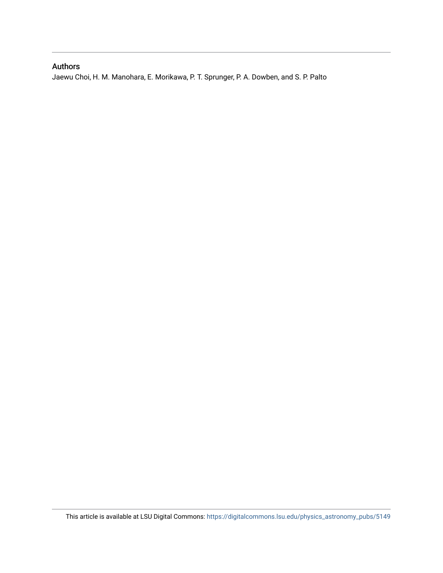### Authors

Jaewu Choi, H. M. Manohara, E. Morikawa, P. T. Sprunger, P. A. Dowben, and S. P. Palto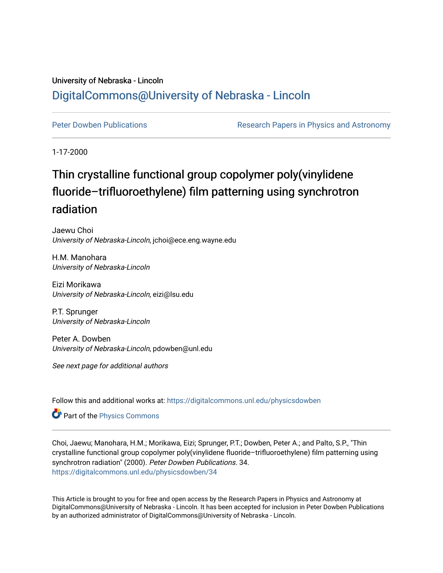### University of Nebraska - Lincoln [DigitalCommons@University of Nebraska - Lincoln](https://digitalcommons.unl.edu/)

[Peter Dowben Publications](https://digitalcommons.unl.edu/physicsdowben) **Research Papers in Physics and Astronomy** 

1-17-2000

# Thin crystalline functional group copolymer poly(vinylidene fluoride–trifluoroethylene) film patterning using synchrotron radiation

Jaewu Choi University of Nebraska-Lincoln, jchoi@ece.eng.wayne.edu

H.M. Manohara University of Nebraska-Lincoln

Eizi Morikawa University of Nebraska-Lincoln, eizi@lsu.edu

P.T. Sprunger University of Nebraska-Lincoln

Peter A. Dowben University of Nebraska-Lincoln, pdowben@unl.edu

See next page for additional authors

Follow this and additional works at: [https://digitalcommons.unl.edu/physicsdowben](https://digitalcommons.unl.edu/physicsdowben?utm_source=digitalcommons.unl.edu%2Fphysicsdowben%2F34&utm_medium=PDF&utm_campaign=PDFCoverPages) 

Part of the [Physics Commons](http://network.bepress.com/hgg/discipline/193?utm_source=digitalcommons.unl.edu%2Fphysicsdowben%2F34&utm_medium=PDF&utm_campaign=PDFCoverPages)

Choi, Jaewu; Manohara, H.M.; Morikawa, Eizi; Sprunger, P.T.; Dowben, Peter A.; and Palto, S.P., "Thin crystalline functional group copolymer poly(vinylidene fluoride–trifluoroethylene) film patterning using synchrotron radiation" (2000). Peter Dowben Publications. 34. [https://digitalcommons.unl.edu/physicsdowben/34](https://digitalcommons.unl.edu/physicsdowben/34?utm_source=digitalcommons.unl.edu%2Fphysicsdowben%2F34&utm_medium=PDF&utm_campaign=PDFCoverPages)

This Article is brought to you for free and open access by the Research Papers in Physics and Astronomy at DigitalCommons@University of Nebraska - Lincoln. It has been accepted for inclusion in Peter Dowben Publications by an authorized administrator of DigitalCommons@University of Nebraska - Lincoln.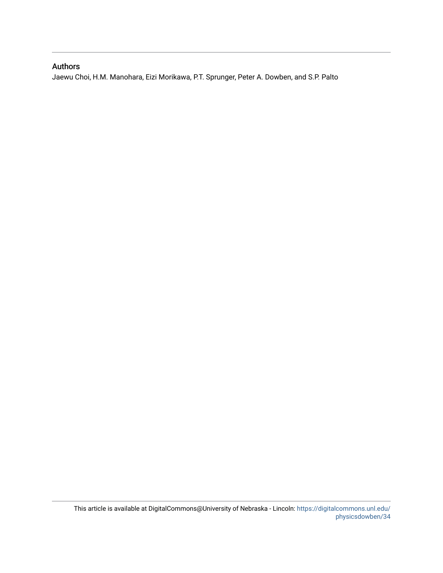### Authors

Jaewu Choi, H.M. Manohara, Eizi Morikawa, P.T. Sprunger, Peter A. Dowben, and S.P. Palto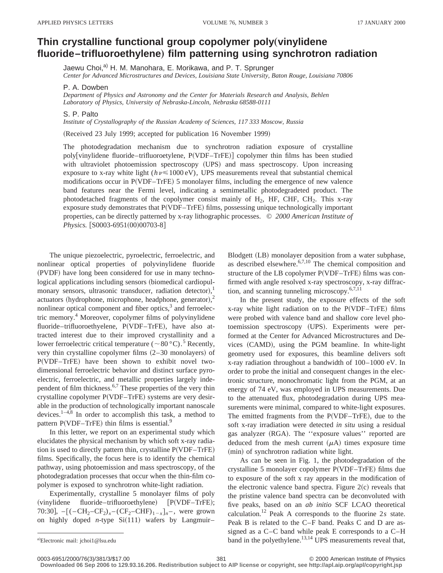### **Thin crystalline functional group copolymer poly**"**vinylidene** fluoride–trifluoroethylene) film patterning using synchrotron radiation

Jaewu Choi,<sup>a)</sup> H. M. Manohara, E. Morikawa, and P. T. Sprunger

*Center for Advanced Microstructures and Devices, Louisiana State University, Baton Rouge, Louisiana 70806*

P. A. Dowben

*Department of Physics and Astronomy and the Center for Materials Research and Analysis, Behlen Laboratory of Physics, University of Nebraska-Lincoln, Nebraska 68588-0111*

#### S. P. Palto

*Institute of Crystallography of the Russian Academy of Sciences, 117 333 Moscow, Russia*

(Received 23 July 1999; accepted for publication 16 November 1999)

The photodegradation mechanism due to synchrotron radiation exposure of crystalline poly[vinylidene fluoride–trifluoroetylene, P(VDF–TrFE)] copolymer thin films has been studied with ultraviolet photoemission spectroscopy (UPS) and mass spectroscopy. Upon increasing exposure to x-ray white light ( $h\nu \le 1000 \text{ eV}$ ), UPS measurements reveal that substantial chemical modifications occur in P(VDF–TrFE) 5 monolayer films, including the emergence of new valence band features near the Fermi level, indicating a semimetallic photodegradeted product. The photodetached fragments of the copolymer consist mainly of  $H_2$ , HF, CHF, CH<sub>2</sub>. This x-ray exposure study demonstrates that  $P(VDF-TrFE)$  films, possessing unique technologically important properties, can be directly patterned by x-ray lithographic processes. © *2000 American Institute of Physics.* [S0003-6951(00)00703-8]

The unique piezoelectric, pyroelectric, ferroelectric, and nonlinear optical properties of polyvinylidene fluoride (PVDF) have long been considered for use in many technological applications including sensors (biomedical cardiopulmonary sensors, ultrasonic transducer, radiation detector),<sup>1</sup> actuators (hydrophone, microphone, headphone, generator), $^{2}$ nonlinear optical component and fiber optics, $3$  and ferroelectric memory.4 Moreover, copolymer films of polyvinylidene fluoride–trifluoroethyelene, P(VDF–TrFE), have also attracted interest due to their improved crystallinity and a lower ferroelectric critical temperature ( $\sim 80 \degree C$ ).<sup>5</sup> Recently, very thin crystalline copolymer films  $(2–30 \text{ monolayers})$  of P(VDF–TrFE) have been shown to exhibit novel twodimensional ferroelectric behavior and distinct surface pyroelectric, ferroelectric, and metallic properties largely independent of film thickness.6,7 These properties of the very thin crystalline copolymer P(VDF–TrFE) systems are very desirable in the production of technologically important nanoscale devices. $1-4,8$  In order to accomplish this task, a method to pattern  $P(VDF-TrFE)$  thin films is essential.<sup>9</sup>

In this letter, we report on an experimental study which elucidates the physical mechanism by which soft x-ray radiation is used to directly pattern thin, crystalline  $P(VDF-TrFE)$ films. Specifically, the focus here is to identify the chemical pathway, using photoemission and mass spectroscopy, of the photodegradation processes that occur when the thin-film copolymer is exposed to synchrotron white-light radiation.

Experimentally, crystalline 5 monolayer films of poly (vinylidene fluoride–trifluoroethylene) [P(VDF–TrFE); 70:30],  $-[(-CH_2-CF_2)_x-(CF_2-CHF)_{1-x}]_n$ , were grown on highly doped *n*-type  $Si(111)$  wafers by Langmuir–

Blodgett (LB) monolayer deposition from a water subphase, as described elsewhere. $6,7,10$  The chemical composition and structure of the LB copolymer P(VDF–TrFE) films was confirmed with angle resolved x-ray spectroscopy, x-ray diffraction, and scanning tunneling microscopy.6,7,11

In the present study, the exposure effects of the soft  $x$ -ray white light radiation on to the  $P(VDF-TrFE)$  films were probed with valence band and shallow core level photoemission spectroscopy (UPS). Experiments were performed at the Center for Advanced Microstructures and Devices (CAMD), using the PGM beamline. In white-light geometry used for exposures, this beamline delivers soft x-ray radiation throughout a bandwidth of 100–1000 eV. In order to probe the initial and consequent changes in the electronic structure, monochromatic light from the PGM, at an energy of 74 eV, was employed in UPS measurements. Due to the attenuated flux, photodegradation during UPS measurements were minimal, compared to white-light exposures. The emitted fragments from the  $P(VDF-TrFE)$ , due to the soft x-ray irradiation were detected *in situ* using a residual gas analyzer (RGA). The "exposure values" reported are deduced from the mesh current  $(\mu A)$  times exposure time (min) of synchrotron radiation white light.

As can be seen in Fig. 1, the photodegradation of the crystalline 5 monolayer copolymer  $P(VDF-TrFE)$  films due to exposure of the soft x ray appears in the modification of the electronic valence band spectra. Figure  $2(c)$  reveals that the pristine valence band spectra can be deconvoluted with five peaks, based on an *ab initio* SCF LCAO theoretical calculation.12 Peak A corresponds to the fluorine 2*s* state. Peak B is related to the C–F band. Peaks C and D are assigned as a C–C band while peak E corresponds to a C–H band in the polyethylene. $13,14$  UPS measurements reveal that,

Electronic mail: jchoi1@lsu.edu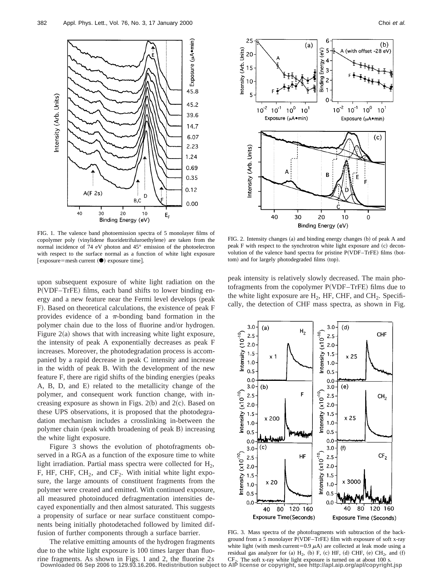

FIG. 1. The valence band photoemission spectra of 5 monolayer films of copolymer poly (vinylidene fluoridetrifuluroethylene) are taken from the normal incidence of 74 eV photon and 45° emission of the photoelectron with respect to the surface normal as a function of white light exposure  $[$  exposure=mesh current  $($   $\bullet)$  exposure time].

upon subsequent exposure of white light radiation on the P(VDF–TrFE) films, each band shifts to lower binding energy and a new feature near the Fermi level develops (peak F). Based on theoretical calculations, the existence of peak F provides evidence of a  $\pi$ -bonding band formation in the polymer chain due to the loss of fluorine and/or hydrogen. Figure  $2(a)$  shows that with increasing white light exposure, the intensity of peak A exponentially decreases as peak F increases. Moreover, the photodegradation process is accompanied by a rapid decrease in peak C intensity and increase in the width of peak B. With the development of the new feature F, there are rigid shifts of the binding energies (peaks A, B, D, and E) related to the metallicity change of the polymer, and consequent work function change, with increasing exposure as shown in Figs.  $2(b)$  and  $2(c)$ . Based on these UPS observations, it is proposed that the photodegradation mechanism includes a crosslinking in-between the polymer chain (peak width broadening of peak B) increasing the white light exposure.

Figure 3 shows the evolution of photofragments observed in a RGA as a function of the exposure time to white light irradiation. Partial mass spectra were collected for  $H_2$ , F, HF, CHF,  $CH_2$ , and  $CF_2$ . With initial white light exposure, the large amounts of constituent fragments from the polymer were created and emitted. With continued exposure, all measured photoinduced defragmentation intensities decayed exponentially and then almost saturated. This suggests a propensity of surface or near surface constituent components being initially photodetached followed by limited diffusion of further components through a surface barrier.

The relative emitting amounts of the hydrogen fragments due to the white light exposure is 100 times larger than fluo-



FIG. 2. Intensity changes (a) and binding energy changes (b) of peak A and peak  $F$  with respect to the synchrotron white light exposure and  $(c)$  deconvolution of the valence band spectra for pristine P(VDF–TrFE) films (bottom) and for largely photodegraded films (top).

peak intensity is relatively slowly decreased. The main photofragments from the copolymer  $P(VDF-TrFE)$  films due to the white light exposure are  $H_2$ , HF, CHF, and CH<sub>2</sub>. Specifically, the detection of CHF mass spectra, as shown in Fig.



FIG. 3. Mass spectra of the photofragments with subtraction of the background from a 5 monolayer P(VDF–TrFE) film with exposure of soft x-ray white light (with mesh current=0.9  $\mu$ A) are collected at leak mode using a residual gas analyzer for (a)  $H_2$ , (b) F, (c) HF, (d) CHF, (e) CH<sub>2</sub>, and  $(f)$ 

rine fragments. As shown in Figs. 1 and 2, the fluorine  $2s$  CF<sub>2</sub>. The soft x-ray white light exposure is turned on at about 100 s.<br>Downloaded 06 Sep 2006 to 129.93.16.206. Redistribution subject to AIP license or copyri